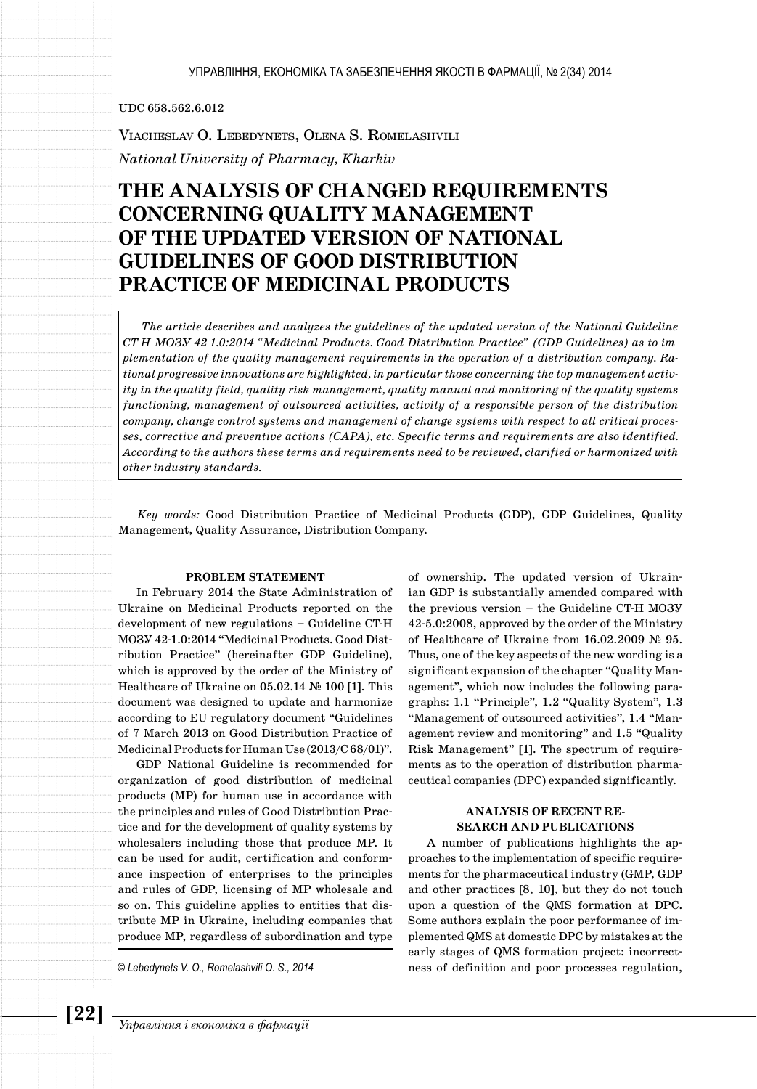## UDC 658.562.6.012

VIACHESLAV O. LEBEDYNETS, OLENA S. ROMELASHVILI *National University of Pharmacy, Kharkiv* 

# **THE ANALYSIS OF CHANGED REQUIREMENTS CONCERNING QUALITY MANAGEMENT OF THE UPDATED VERSION OF NATIONAL GUIDELINES OF GOOD DISTRIBUTION PRACTICE OF MEDICINAL PRODUCTS**

*The article describes and analyzes the guidelines of the updated version of the National Guideline CT-H МОЗУ 42-1.0:2014 "Medicinal Products. Good Distribution Practice" (GDP Guidelines) as to implementation of the quality management requirements in the operation of a distribution company. Rational progressive innovations are highlighted, in particular those concerning the top management activity in the quality field, quality risk management, quality manual and monitoring of the quality systems functioning, management of outsourced activities, activity of a responsible person of the distribution company, change control systems and management of change systems with respect to all critical processes, corrective and preventive actions (CAPA), etc. Specific terms and requirements are also identified. According to the authors these terms and requirements need to be reviewed, clarified or harmonized with other industry standards.*

*Key words:* Good Distribution Practice of Medicinal Products (GDP), GDP Guidelines, Quality Management, Quality Assurance, Distribution Company.

#### **PROBLEM STATEMENT**

In February 2014 the State Administration of Ukraine on Medicinal Products reported on the development of new regulations – Guideline CT-H МОЗУ 42-1.0:2014 "Medicinal Products. Good Distribution Practice" (hereinafter GDP Guideline), which is approved by the order of the Ministry of Healthcare of Ukraine on 05.02.14 № 100 [1]. This document was designed to update and harmonize according to EU regulatory document "Guidelines of 7 March 2013 on Good Distribution Practice of Medicinal Products for Human Use (2013/C 68/01)".

GDP National Guideline is recommended for organization of good distribution of medicinal products (MP) for human use in accordance with the principles and rules of Good Distribution Practice and for the development of quality systems by wholesalers including those that produce MP. It can be used for audit, certification and conformance inspection of enterprises to the principles and rules of GDP, licensing of MP wholesale and so on. This guideline applies to entities that distribute MP in Ukraine, including companies that produce MP, regardless of subordination and type

*© Lebedynets V. O., Romelashvili O. S., 2014*

of ownership. The updated version of Ukrainian GDP is substantially amended compared with the previous version – the Guideline CT-H МОЗУ 42-5.0:2008, approved by the order of the Ministry of Healthcare of Ukraine from 16.02.2009 № 95. Thus, one of the key aspects of the new wording is a significant expansion of the chapter "Quality Management", which now includes the following paragraphs: 1.1 "Principle", 1.2 "Quality System", 1.3 "Management of outsourced activities", 1.4 "Management review and monitoring" and 1.5 "Quality Risk Management" [1]. The spectrum of requirements as to the operation of distribution pharmaceutical companies (DPC) expanded significantly.

## **ANALYSIS OF RECENT RE-SEARCH AND PUBLICATIONS**

A number of publications highlights the approaches to the implementation of specific requirements for the pharmaceutical industry (GMP, GDP and other practices [8, 10], but they do not touch upon a question of the QMS formation at DPC. Some authors explain the poor performance of implemented QMS at domestic DPC by mistakes at the early stages of QMS formation project: incorrectness of definition and poor processes regulation,

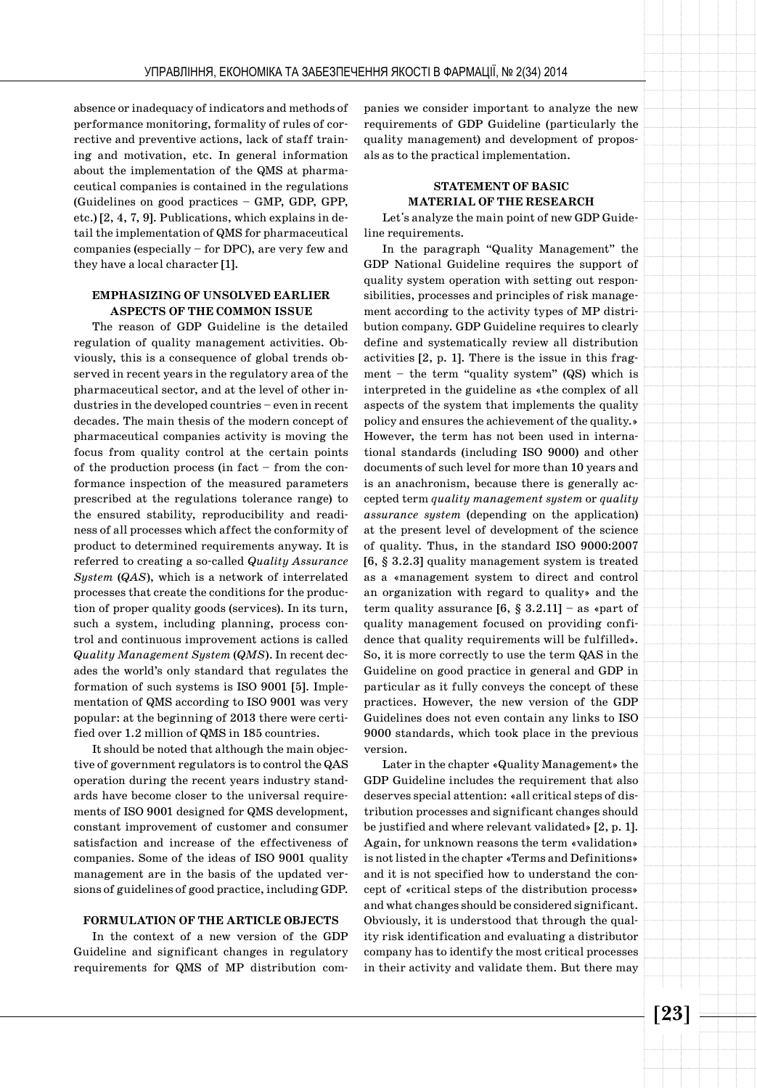absence or inadequacy of indicators and methods of performance monitoring, formality of rules of corrective and preventive actions, lack of staff training and motivation, etc. In general information about the implementation of the QMS at pharmaceutical companies is contained in the regulations (Guidelines on good practices – GMP, GDP, GPP, etc.) [2, 4, 7, 9]. Publications, which explains in detail the implementation of QMS for pharmaceutical companies (especially – for DPC), are very few and they have a local character [1].

## **EMPHASIZING OF UNSOLVED EARLIER ASPECTS OF THE COMMON ISSUE**

The reason of GDP Guideline is the detailed regulation of quality management activities. Obviously, this is a consequence of global trends observed in recent years in the regulatory area of the pharmaceutical sector, and at the level of other industries in the developed countries – even in recent decades. The main thesis of the modern concept of pharmaceutical companies activity is moving the focus from quality control at the certain points of the production process (in fact – from the conformance inspection of the measured parameters prescribed at the regulations tolerance range) to the ensured stability, reproducibility and readiness of all processes which affect the conformity of product to determined requirements anyway. It is referred to creating a so-called *Quality Assurance System* (*QAS*), which is a network of interrelated processes that create the conditions for the production of proper quality goods (services). In its turn, such a system, including planning, process control and continuous improvement actions is called *Quality Management System* (*QMS*). In recent decades the world's only standard that regulates the formation of such systems is ISO 9001 [5]. Implementation of QMS according to ISO 9001 was very popular: at the beginning of 2013 there were certified over 1.2 million of QMS in 185 countries.

It should be noted that although the main objective of government regulators is to control the QAS operation during the recent years industry standards have become closer to the universal requirements of ISO 9001 designed for QMS development, constant improvement of customer and consumer satisfaction and increase of the effectiveness of companies. Some of the ideas of ISO 9001 quality management are in the basis of the updated versions of guidelines of good practice, including GDP.

#### **FORMULATION OF THE ARTICLE OBJECTS**

In the context of a new version of the GDP Guideline and significant changes in regulatory requirements for QMS of MP distribution companies we consider important to analyze the new requirements of GDP Guideline (particularly the quality management) and development of proposals as to the practical implementation.

# **STATEMENT OF BASIC MATERIAL OF THE RESEARCH**

Let's analyze the main point of new GDP Guideline requirements.

In the paragraph "Quality Management" the GDP National Guideline requires the support of quality system operation with setting out responsibilities, processes and principles of risk management according to the activity types of MP distribution company. GDP Guideline requires to clearly define and systematically review all distribution activities [2, p. 1]. There is the issue in this fragment – the term "quality system" (QS) which is interpreted in the guideline as «the complex of all aspects of the system that implements the quality policy and ensures the achievement of the quality.» However, the term has not been used in international standards (including ISO 9000) and other documents of such level for more than 10 years and is an anachronism, because there is generally accepted term *quality management system* or *quality assurance system* (depending on the application) at the present level of development of the science of quality. Thus, in the standard ISO 9000:2007 [6, § 3.2.3] quality management system is treated as a «management system to direct and control an organization with regard to quality» and the term quality assurance  $[6, \S 3.2.11]$  – as «part of quality management focused on providing confidence that quality requirements will be fulfilled». So, it is more correctly to use the term QAS in the Guideline on good practice in general and GDP in particular as it fully conveys the concept of these practices. However, the new version of the GDP Guidelines does not even contain any links to ISO 9000 standards, which took place in the previous version.

Later in the chapter «Quality Management» the GDP Guideline includes the requirement that also deserves special attention: «all critical steps of distribution processes and significant changes should be justified and where relevant validated» [2, p. 1]. Again, for unknown reasons the term «validation» is not listed in the chapter «Terms and Definitions» and it is not specified how to understand the concept of «critical steps of the distribution process» and what changes should be considered significant. Obviously, it is understood that through the quality risk identification and evaluating a distributor company has to identify the most critical processes in their activity and validate them. But there may

**[23]**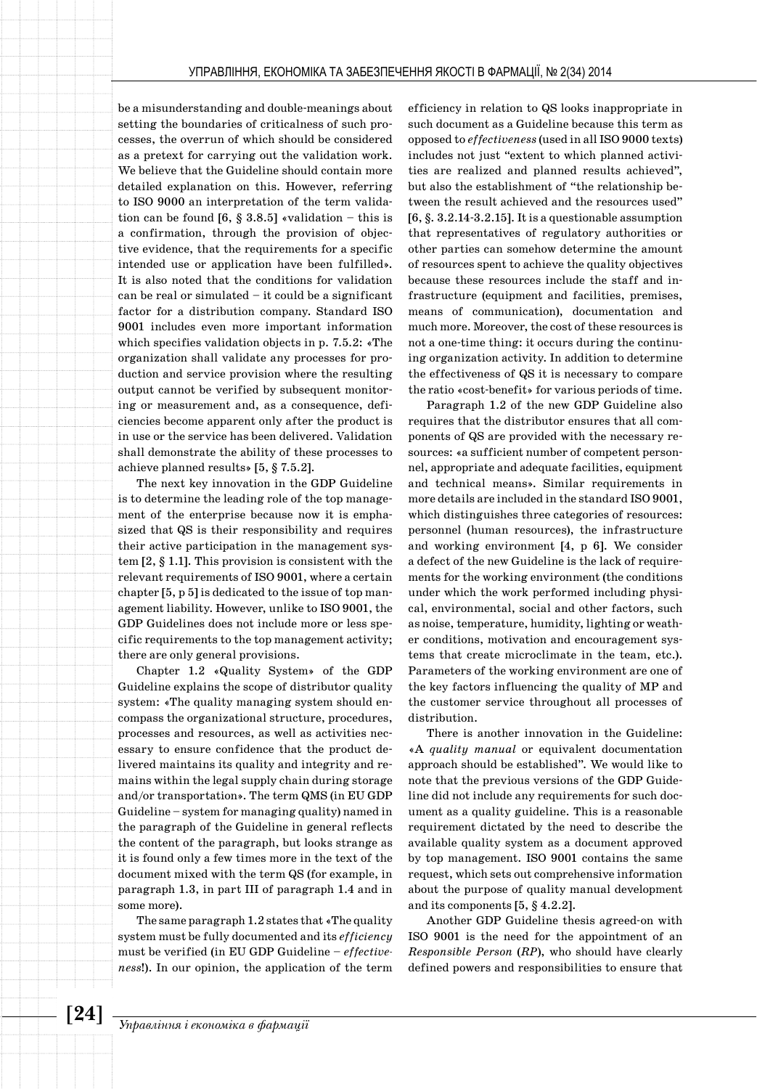be a misunderstanding and double-meanings about setting the boundaries of criticalness of such processes, the overrun of which should be considered as a pretext for carrying out the validation work. We believe that the Guideline should contain more detailed explanation on this. However, referring to ISO 9000 an interpretation of the term validation can be found  $[6, § 3.8.5]$  «validation – this is a confirmation, through the provision of objective evidence, that the requirements for a specific intended use or application have been fulfilled». It is also noted that the conditions for validation can be real or simulated – it could be a significant factor for a distribution company. Standard ISO 9001 includes even more important information which specifies validation objects in p. 7.5.2: «The organization shall validate any processes for production and service provision where the resulting output cannot be verified by subsequent monitoring or measurement and, as a consequence, deficiencies become apparent only after the product is in use or the service has been delivered. Validation shall demonstrate the ability of these processes to achieve planned results» [5, § 7.5.2].

The next key innovation in the GDP Guideline is to determine the leading role of the top management of the enterprise because now it is emphasized that QS is their responsibility and requires their active participation in the management system [2, § 1.1]. This provision is consistent with the relevant requirements of ISO 9001, where a certain chapter [5, p 5] is dedicated to the issue of top management liability. However, unlike to ISO 9001, the GDP Guidelines does not include more or less specific requirements to the top management activity; there are only general provisions.

Chapter 1.2 «Quality System» of the GDP Guideline explains the scope of distributor quality system: «The quality managing system should encompass the organizational structure, procedures, processes and resources, as well as activities necessary to ensure confidence that the product delivered maintains its quality and integrity and remains within the legal supply chain during storage and/or transportation». The term QMS (in EU GDP Guideline – system for managing quality) named in the paragraph of the Guideline in general reflects the content of the paragraph, but looks strange as it is found only a few times more in the text of the document mixed with the term QS (for example, in paragraph 1.3, in part III of paragraph 1.4 and in some more).

The same paragraph 1.2 states that «The quality system must be fully documented and its *efficiency*  must be verified (in EU GDP Guideline – *effectiveness*!). In our opinion, the application of the term

efficiency in relation to QS looks inappropriate in such document as a Guideline because this term as opposed to *effectiveness* (used in all ISO 9000 texts) includes not just "extent to which planned activities are realized and planned results achieved", but also the establishment of "the relationship between the result achieved and the resources used"  $[6, §. 3.2.14-3.2.15]$ . It is a questionable assumption that representatives of regulatory authorities or other parties can somehow determine the amount of resources spent to achieve the quality objectives because these resources include the staff and infrastructure (equipment and facilities, premises, means of communication), documentation and much more. Moreover, the cost of these resources is not a one-time thing: it occurs during the continuing organization activity. In addition to determine the effectiveness of QS it is necessary to compare the ratio «cost-benefit» for various periods of time.

Paragraph 1.2 of the new GDP Guideline also requires that the distributor ensures that all components of QS are provided with the necessary resources: «a sufficient number of competent personnel, appropriate and adequate facilities, equipment and technical means». Similar requirements in more details are included in the standard ISO 9001, which distinguishes three categories of resources: personnel (human resources), the infrastructure and working environment [4, p 6]. We consider a defect of the new Guideline is the lack of requirements for the working environment (the conditions under which the work performed including physical, environmental, social and other factors, such as noise, temperature, humidity, lighting or weather conditions, motivation and encouragement systems that create microclimate in the team, etc.). Parameters of the working environment are one of the key factors influencing the quality of MP and the customer service throughout all processes of distribution.

There is another innovation in the Guideline: «A *quality manual* or equivalent documentation approach should be established". We would like to note that the previous versions of the GDP Guideline did not include any requirements for such document as a quality guideline. This is a reasonable requirement dictated by the need to describe the available quality system as a document approved by top management. ISO 9001 contains the same request, which sets out comprehensive information about the purpose of quality manual development and its components [5, § 4.2.2].

Another GDP Guideline thesis agreed-on with ISO 9001 is the need for the appointment of an *Responsible Person* (*RP*), who should have clearly defined powers and responsibilities to ensure that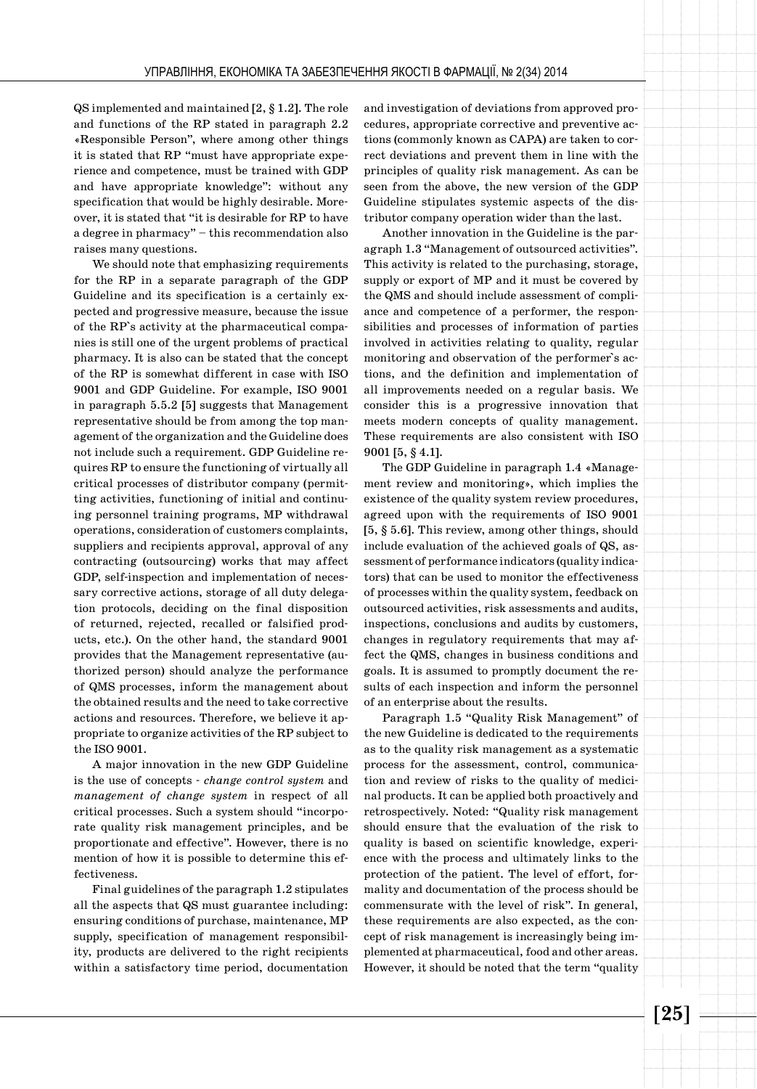QS implemented and maintained [2, § 1.2]. The role and functions of the RP stated in paragraph 2.2 «Responsible Person", where among other things it is stated that RP "must have appropriate experience and competence, must be trained with GDP and have appropriate knowledge": without any specification that would be highly desirable. Moreover, it is stated that "it is desirable for RP to have a degree in pharmacy" – this recommendation also raises many questions.

We should note that emphasizing requirements for the RP in a separate paragraph of the GDP Guideline and its specification is a certainly expected and progressive measure, because the issue of the RP`s activity at the pharmaceutical companies is still one of the urgent problems of practical pharmacy. It is also can be stated that the concept of the RP is somewhat different in case with ISO 9001 and GDP Guideline. For example, ISO 9001 in paragraph 5.5.2 [5] suggests that Management representative should be from among the top management of the organization and the Guideline does not include such a requirement. GDP Guideline requires RP to ensure the functioning of virtually all critical processes of distributor company (permitting activities, functioning of initial and continuing personnel training programs, MP withdrawal operations, consideration of customers complaints, suppliers and recipients approval, approval of any contracting (outsourcing) works that may affect GDP, self-inspection and implementation of necessary corrective actions, storage of all duty delegation protocols, deciding on the final disposition of returned, rejected, recalled or falsified products, etc.). On the other hand, the standard 9001 provides that the Management representative (authorized person) should analyze the performance of QMS processes, inform the management about the obtained results and the need to take corrective actions and resources. Therefore, we believe it appropriate to organize activities of the RP subject to the ISO 9001.

A major innovation in the new GDP Guideline is the use of concepts - *change control system* and *management of change system* in respect of all critical processes. Such a system should "incorporate quality risk management principles, and be proportionate and effective". However, there is no mention of how it is possible to determine this effectiveness.

Final guidelines of the paragraph 1.2 stipulates all the aspects that QS must guarantee including: ensuring conditions of purchase, maintenance, MP supply, specification of management responsibility, products are delivered to the right recipients within a satisfactory time period, documentation and investigation of deviations from approved procedures, appropriate corrective and preventive actions (commonly known as CAPA) are taken to correct deviations and prevent them in line with the principles of quality risk management. As can be seen from the above, the new version of the GDP Guideline stipulates systemic aspects of the distributor company operation wider than the last.

Another innovation in the Guideline is the paragraph 1.3 "Management of outsourced activities". This activity is related to the purchasing, storage, supply or export of MP and it must be covered by the QMS and should include assessment of compliance and competence of a performer, the responsibilities and processes of information of parties involved in activities relating to quality, regular monitoring and observation of the performer`s actions, and the definition and implementation of all improvements needed on a regular basis. We consider this is a progressive innovation that meets modern concepts of quality management. These requirements are also consistent with ISO 9001 [5, § 4.1].

The GDP Guideline in paragraph 1.4 «Management review and monitoring», which implies the existence of the quality system review procedures, agreed upon with the requirements of ISO 9001 [5, § 5.6]. This review, among other things, should include evaluation of the achieved goals of QS, assessment of performance indicators (quality indicators) that can be used to monitor the effectiveness of processes within the quality system, feedback on outsourced activities, risk assessments and audits, inspections, conclusions and audits by customers, changes in regulatory requirements that may affect the QMS, changes in business conditions and goals. It is assumed to promptly document the results of each inspection and inform the personnel of an enterprise about the results.

Paragraph 1.5 "Quality Risk Management" of the new Guideline is dedicated to the requirements as to the quality risk management as a systematic process for the assessment, control, communication and review of risks to the quality of medicinal products. It can be applied both proactively and retrospectively. Noted: "Quality risk management should ensure that the evaluation of the risk to quality is based on scientific knowledge, experience with the process and ultimately links to the protection of the patient. The level of effort, formality and documentation of the process should be commensurate with the level of risk". In general, these requirements are also expected, as the concept of risk management is increasingly being implemented at pharmaceutical, food and other areas. However, it should be noted that the term "quality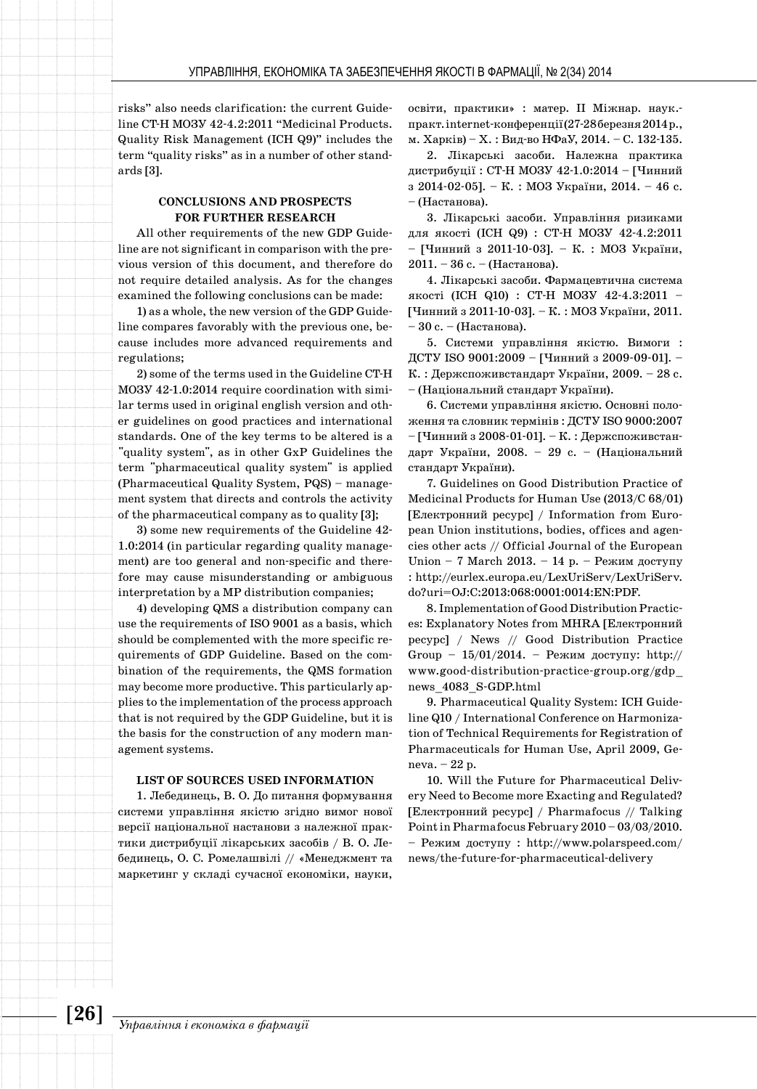risks" also needs clarification: the current Guideline CT-H МОЗУ 42-4.2:2011 "Medicinal Products. Quality Risk Management (ICH Q9)" includes the term "quality risks" as in a number of other standards [3].

#### **CONCLUSIONS AND PROSPECTS FOR FURTHER RESEARCH**

All other requirements of the new GDP Guideline are not significant in comparison with the previous version of this document, and therefore do not require detailed analysis. As for the changes examined the following conclusions can be made:

1) as a whole, the new version of the GDP Guideline compares favorably with the previous one, because includes more advanced requirements and regulations;

2) some of the terms used in the Guideline CT-H МОЗУ 42-1.0:2014 require coordination with similar terms used in original english version and other guidelines on good practices and international standards. One of the key terms to be altered is a "quality system", as in other GxP Guidelines the term "pharmaceutical quality system" is applied (Pharmaceutical Quality System, PQS) – management system that directs and controls the activity of the pharmaceutical company as to quality [3];

3) some new requirements of the Guideline 42- 1.0:2014 (in particular regarding quality management) are too general and non-specific and therefore may cause misunderstanding or ambiguous interpretation by a MP distribution companies;

4) developing QMS a distribution company can use the requirements of ISO 9001 as a basis, which should be complemented with the more specific requirements of GDP Guideline. Based on the combination of the requirements, the QMS formation may become more productive. This particularly applies to the implementation of the process approach that is not required by the GDP Guideline, but it is the basis for the construction of any modern management systems.

#### **LIST OF SOURCES USED INFORMATION**

1. Лебединець, В. О. До питання формування системи управління якістю згідно вимог нової версії національної настанови з належної практики дистрибуції лікарських засобів / В. О. Лебединець, О. С. Ромелашвілі // «Менеджмент та маркетинг у складі сучасної економіки, науки, освіти, практики» : матер. ІІ Міжнар. наук. практ. internet-конференції (27-28 березня 2014 р., м. Харків) – Х. : Вид-во НФаУ, 2014. – С. 132-135.

2. Лікарські засоби. Належна практика дистрибуції : СТ-Н МОЗУ 42-1.0:2014 – [Чинний з 2014-02-05]. – К. : МОЗ України, 2014. – 46 с. – (Настанова).

3. Лікарські засоби. Управління ризиками для якості (ICH Q9) : СТ-Н МОЗУ 42-4.2:2011 – [Чинний з 2011-10-03]. – К. : МОЗ України, 2011. – 36 с. – (Настанова).

4. Лікарські засоби. Фармацевтична система якості (ICH Q10) : СТ-Н МОЗУ 42-4.3:2011 – [Чинний з 2011-10-03]. – К. : МОЗ України, 2011. – 30 с. – (Настанова).

5. Системи управління якістю. Вимоги : ДСТУ ISO 9001:2009 – [Чинний з 2009-09-01]. – К. : Держспоживстандарт України, 2009. – 28 с. – (Національний стандарт України).

6. Системи управління якістю. Основні положення та словник термінів : ДСТУ ISO 9000:2007 – [Чинний з 2008-01-01]. – К. : Держспоживстандарт України, 2008. – 29 с. – (Національний стандарт України).

7. Guidelines on Good Distribution Practice of Medicinal Products for Human Use (2013/C 68/01) [Електронний ресурс] / Information from European Union institutions, bodies, offices and agencies other acts // Official Journal of the European Union – 7 March 2013. – 14 р. – Режим доступу : http://eurlex.europa.eu/LexUriServ/LexUriServ. do?uri=OJ:C:2013:068:0001:0014:EN:PDF.

8. Implementation of Good Distribution Practices: Explanatory Notes from MHRA [Електронний ресурс] / News // Good Distribution Practice Group -  $15/01/2014$ . – Режим доступу: http:// www.good-distribution-practice-group.org/gdp\_ news\_4083\_S-GDP.html

9. Pharmaceutical Quality System: ICH Guideline Q10 / International Conference on Harmonization of Technical Requirements for Registration of Pharmaceuticals for Human Use, April 2009, Geneva. – 22 p.

10. Will the Future for Pharmaceutical Delivery Need to Become more Exacting and Regulated? [Електронний ресурс] / Pharmafocus // Talking Point in Pharmafocus February 2010 – 03/03/2010. – Режим доступу : http://www.polarspeed.com/ news/the-future-for-pharmaceutical-delivery